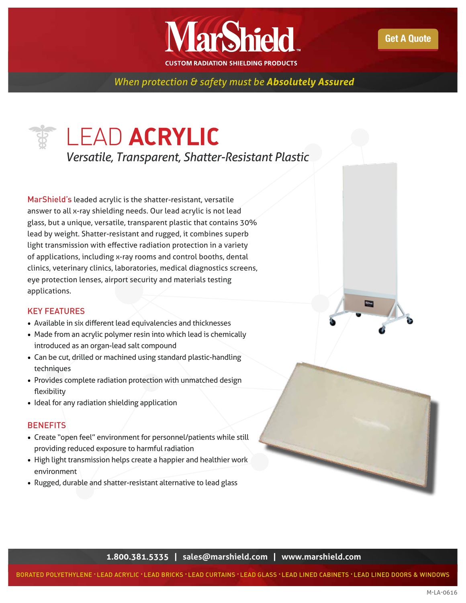

*When protection & safety must be Absolutely Assured* 

## LEAD **ACRYLIC**

*Versatile, Transparent, Shatter-Resistant Plastic*

MarShield's leaded acrylic is the shatter-resistant, versatile answer to all x-ray shielding needs. Our lead acrylic is not lead glass, but a unique, versatile, transparent plastic that contains 30% lead by weight. Shatter-resistant and rugged, it combines superb light transmission with effective radiation protection in a variety of applications, including x-ray rooms and control booths, dental clinics, veterinary clinics, laboratories, medical diagnostics screens, eye protection lenses, airport security and materials testing applications.

## KEY FEATURES

- Available in six different lead equivalencies and thicknesses
- Made from an acrylic polymer resin into which lead is chemically introduced as an organ-lead salt compound
- Can be cut, drilled or machined using standard plastic-handling techniques
- Provides complete radiation protection with unmatched design flexibility
- Ideal for any radiation shielding application

## **BENEFITS**

- Create "open feel" environment for personnel/patients while still providing reduced exposure to harmful radiation
- High light transmission helps create a happier and healthier work environment
- Rugged, durable and shatter-resistant alternative to lead glass